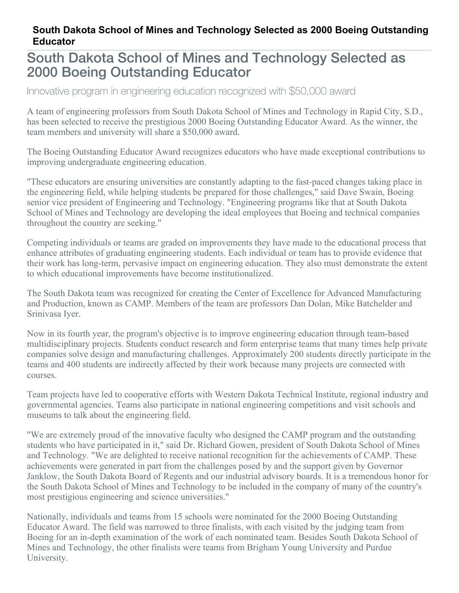## **South Dakota School of Mines and Technology Selected as 2000 Boeing Outstanding Educator**

## South Dakota School of Mines and Technology Selected as 2000 Boeing Outstanding Educator

Innovative program in engineering education recognized with \$50,000 award

A team of engineering professors from South Dakota School of Mines and Technology in Rapid City, S.D., has been selected to receive the prestigious 2000 Boeing Outstanding Educator Award. As the winner, the team members and university will share a \$50,000 award.

The Boeing Outstanding Educator Award recognizes educators who have made exceptional contributions to improving undergraduate engineering education.

"These educators are ensuring universities are constantly adapting to the fast-paced changes taking place in the engineering field, while helping students be prepared for those challenges," said Dave Swain, Boeing senior vice president of Engineering and Technology. "Engineering programs like that at South Dakota School of Mines and Technology are developing the ideal employees that Boeing and technical companies throughout the country are seeking."

Competing individuals or teams are graded on improvements they have made to the educational process that enhance attributes of graduating engineering students. Each individual or team has to provide evidence that their work has long-term, pervasive impact on engineering education. They also must demonstrate the extent to which educational improvements have become institutionalized.

The South Dakota team was recognized for creating the Center of Excellence for Advanced Manufacturing and Production, known as CAMP. Members of the team are professors Dan Dolan, Mike Batchelder and Srinivasa Iyer.

Now in its fourth year, the program's objective is to improve engineering education through team-based multidisciplinary projects. Students conduct research and form enterprise teams that many times help private companies solve design and manufacturing challenges. Approximately 200 students directly participate in the teams and 400 students are indirectly affected by their work because many projects are connected with courses.

Team projects have led to cooperative efforts with Western Dakota Technical Institute, regional industry and governmental agencies. Teams also participate in national engineering competitions and visit schools and museums to talk about the engineering field.

"We are extremely proud of the innovative faculty who designed the CAMP program and the outstanding students who have participated in it," said Dr. Richard Gowen, president of South Dakota School of Mines and Technology. "We are delighted to receive national recognition for the achievements of CAMP. These achievements were generated in part from the challenges posed by and the support given by Governor Janklow, the South Dakota Board of Regents and our industrial advisory boards. It is a tremendous honor for the South Dakota School of Mines and Technology to be included in the company of many of the country's most prestigious engineering and science universities."

Nationally, individuals and teams from 15 schools were nominated for the 2000 Boeing Outstanding Educator Award. The field was narrowed to three finalists, with each visited by the judging team from Boeing for an in-depth examination of the work of each nominated team. Besides South Dakota School of Mines and Technology, the other finalists were teams from Brigham Young University and Purdue University.